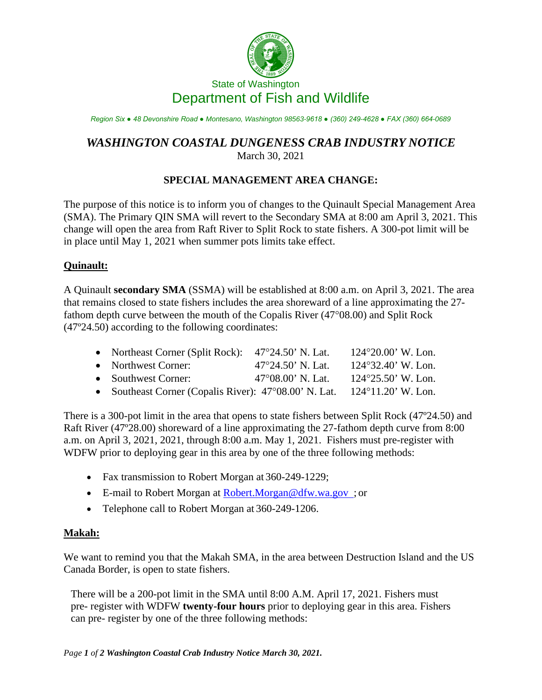

*Region Six ● 48 Devonshire Road ● Montesano, Washington 98563-9618 ● (360) 249-4628 ● FAX (360) 664-0689*

## *WASHINGTON COASTAL DUNGENESS CRAB INDUSTRY NOTICE* March 30, 2021

## **SPECIAL MANAGEMENT AREA CHANGE:**

The purpose of this notice is to inform you of changes to the Quinault Special Management Area (SMA). The Primary QIN SMA will revert to the Secondary SMA at 8:00 am April 3, 2021. This change will open the area from Raft River to Split Rock to state fishers. A 300-pot limit will be in place until May 1, 2021 when summer pots limits take effect.

## **Quinault:**

A Quinault **secondary SMA** (SSMA) will be established at 8:00 a.m. on April 3, 2021. The area that remains closed to state fishers includes the area shoreward of a line approximating the 27 fathom depth curve between the mouth of the Copalis River (47°08.00) and Split Rock (47º24.50) according to the following coordinates:

| • Northeast Corner (Split Rock): $47^{\circ}24.50$ ' N. Lat.    |                             | $124^{\circ}20.00$ ' W. Lon. |
|-----------------------------------------------------------------|-----------------------------|------------------------------|
| • Northwest Corner:                                             | $47^{\circ}24.50$ ' N. Lat. | $124^{\circ}32.40$ ' W. Lon. |
| • Southwest Corner:                                             | $47^{\circ}08.00$ ' N. Lat. | $124^{\circ}25.50'$ W. Lon.  |
| • Southeast Corner (Copalis River): $47^{\circ}08.00$ ' N. Lat. |                             | $124^{\circ}11.20$ ' W. Lon. |

There is a 300-pot limit in the area that opens to state fishers between Split Rock (47º24.50) and Raft River (47º28.00) shoreward of a line approximating the 27-fathom depth curve from 8:00 a.m. on April 3, 2021, 2021, through 8:00 a.m. May 1, 2021. Fishers must pre-register with WDFW prior to deploying gear in this area by one of the three following methods:

- Fax transmission to Robert Morgan at 360-249-1229;
- E-mail to Robert Morgan at [Robert.Morgan@dfw.wa.gov ;](mailto:Robert.Morgan@dfw.wa.gov) or
- Telephone call to Robert Morgan at 360-249-1206.

## **Makah:**

We want to remind you that the Makah SMA, in the area between Destruction Island and the US Canada Border, is open to state fishers.

There will be a 200-pot limit in the SMA until 8:00 A.M. April 17, 2021. Fishers must pre- register with WDFW **twenty-four hours** prior to deploying gear in this area. Fishers can pre- register by one of the three following methods: